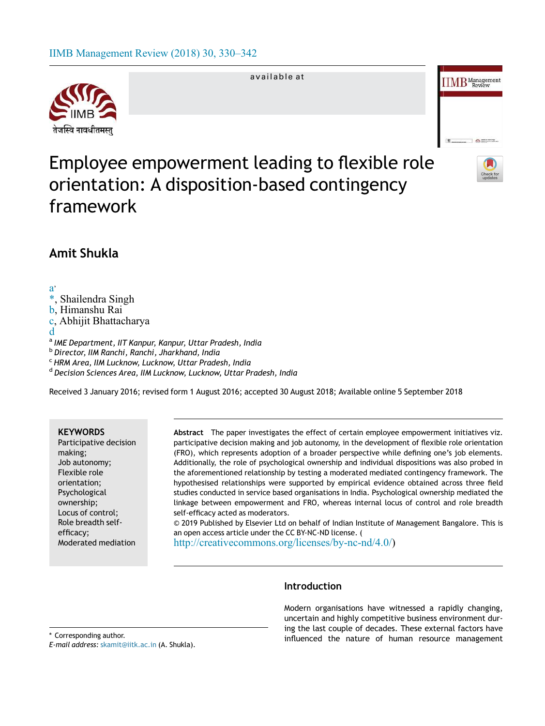# IIMB Management Review (2018) 30, 330–342



available at



# Employee empowerment leading to flexible role orientation: A disposition-based contingency framework



# Amit Shukla

a , , Shailendra Singh b, Himanshu Rai c, Abhijit Bhattacharya d a *IME Department, IIT Kanpur, Kanpur, Uttar Pradesh, India* b *Director, IIM Ranchi, Ranchi, Jharkhand, India* <sup>c</sup> *HRM Area, IIM Lucknow, Lucknow, Uttar Pradesh, India*

d *Decision Sciences Area, IIM Lucknow, Lucknow, Uttar Pradesh, India*

Received 3 January 2016; revised form 1 August 2016; accepted 30 August 2018; Available online 5 September 2018

# **KEYWORDS**

Participative decision making; Job autonomy; Flexible role orientation; Psychological ownership; Locus of control; Role breadth selfefficacy; Moderated mediation Abstract The paper investigates the effect of certain employee empowerment initiatives viz. participative decision making and job autonomy, in the development of flexible role orientation (FRO), which represents adoption of a broader perspective while defining one's job elements. Additionally, the role of psychological ownership and individual dispositions was also probed in the aforementioned relationship by testing a moderated mediated contingency framework. The hypothesised relationships were supported by empirical evidence obtained across three field studies conducted in service based organisations in India. Psychological ownership mediated the linkage between empowerment and FRO, whereas internal locus of control and role breadth self-efficacy acted as moderators. © 2019 Published by Elsevier Ltd on behalf of Indian Institute of Management Bangalore. This is

an open access article under the CC BY-NC-ND license. (

http://creativecommons.org/licenses/by-nc-nd/4.0/)

Introduction

Modern organisations have witnessed a rapidly changing, uncertain and highly competitive business environment during the last couple of decades. These external factors have \* Corresponding author.<br>
The nature of human resource management

*E-mail address:* skamit@iitk.ac.in (A. Shukla).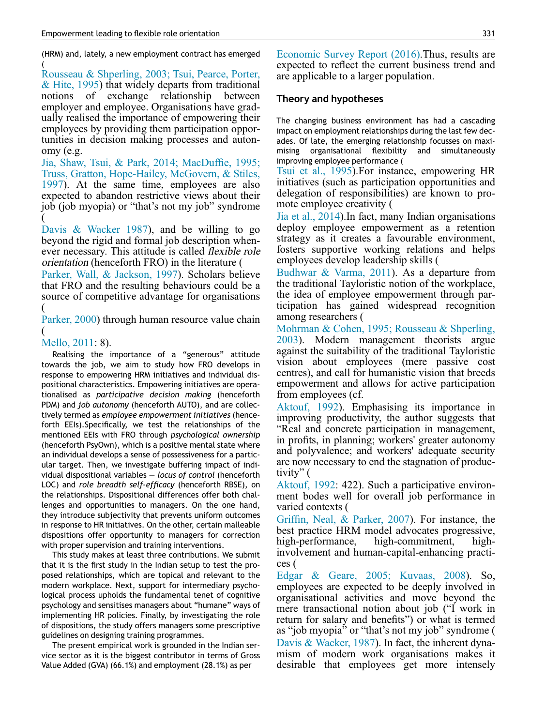(HRM) and, lately, a new employment contract has emerged (

Rousseau & Shperling, 2003; Tsui, Pearce, Porter, & Hite, 1995) that widely departs from traditional notions of exchange relationship between employer and employee. Organisations have gradually realised the importance of empowering their employees by providing them participation opportunities in decision making processes and autonomy (e.g.

Jia, Shaw, Tsui, & Park, 2014; MacDuffie, 1995; Truss, Gratton, Hope-Hailey, McGovern, & Stiles, 1997). At the same time, employees are also expected to abandon restrictive views about their job (job myopia) or "that's not my job" syndrome (

Davis & Wacker 1987), and be willing to go beyond the rigid and formal job description whenever necessary. This attitude is called flexible role orientation (henceforth FRO) in the literature (

Parker, Wall, & Jackson, 1997). Scholars believe that FRO and the resulting behaviours could be a source of competitive advantage for organisations (

Parker, 2000) through human resource value chain (

# Mello, 2011: 8).

Realising the importance of a "generous" attitude towards the job, we aim to study how FRO develops in response to empowering HRM initiatives and individual dispositional characteristics. Empowering initiatives are operationalised as *participative decision making* (henceforth PDM) and *job autonomy* (henceforth AUTO), and are collectively termed as *employee empowerment initiatives* (henceforth EEIs).Specifically, we test the relationships of the mentioned EEIs with FRO through *psychological ownership* (henceforth PsyOwn), which is a positive mental state where an individual develops a sense of possessiveness for a particular target. Then, we investigate buffering impact of individual dispositional variables — *locus of control* (henceforth LOC) and *role breadth self-ef*fi*cacy* (henceforth RBSE), on the relationships. Dispositional differences offer both challenges and opportunities to managers. On the one hand, they introduce subjectivity that prevents uniform outcomes in response to HR initiatives. On the other, certain malleable dispositions offer opportunity to managers for correction with proper supervision and training interventions.

This study makes at least three contributions. We submit that it is the first study in the Indian setup to test the proposed relationships, which are topical and relevant to the modern workplace. Next, support for intermediary psychological process upholds the fundamental tenet of cognitive psychology and sensitises managers about "humane" ways of implementing HR policies. Finally, by investigating the role of dispositions, the study offers managers some prescriptive guidelines on designing training programmes.

The present empirical work is grounded in the Indian service sector as it is the biggest contributor in terms of Gross Value Added (GVA) (66.1%) and employment (28.1%) as per

Economic Survey Report (2016).Thus, results are expected to reflect the current business trend and are applicable to a larger population.

# Theory and hypotheses

The changing business environment has had a cascading impact on employment relationships during the last few decades. Of late, the emerging relationship focusses on maximising organisational flexibility and simultaneously improving employee performance (

Tsui et al., 1995).For instance, empowering HR initiatives (such as participation opportunities and delegation of responsibilities) are known to promote employee creativity (

Jia et al., 2014).In fact, many Indian organisations deploy employee empowerment as a retention strategy as it creates a favourable environment, fosters supportive working relations and helps employees develop leadership skills (

Budhwar & Varma, 2011). As a departure from the traditional Tayloristic notion of the workplace, the idea of employee empowerment through participation has gained widespread recognition among researchers (

Mohrman & Cohen, 1995; Rousseau & Shperling, 2003). Modern management theorists argue against the suitability of the traditional Tayloristic vision about employees (mere passive cost centres), and call for humanistic vision that breeds empowerment and allows for active participation from employees (cf.

Aktouf, 1992). Emphasising its importance in improving productivity, the author suggests that "Real and concrete participation in management, in profits, in planning; workers' greater autonomy and polyvalence; and workers' adequate security are now necessary to end the stagnation of productivity"  $($ 

Aktouf, 1992: 422). Such a participative environment bodes well for overall job performance in varied contexts (

Griffin, Neal, & Parker, 2007). For instance, the best practice HRM model advocates progressive, high-performance, high-commitment, highinvolvement and human-capital-enhancing practices (

Edgar & Geare, 2005; Kuvaas, 2008). So, employees are expected to be deeply involved in organisational activities and move beyond the mere transactional notion about job ("I work in return for salary and benefits") or what is termed as "job myopia" or "that's not my job" syndrome ( Davis & Wacker, 1987). In fact, the inherent dynamism of modern work organisations makes it desirable that employees get more intensely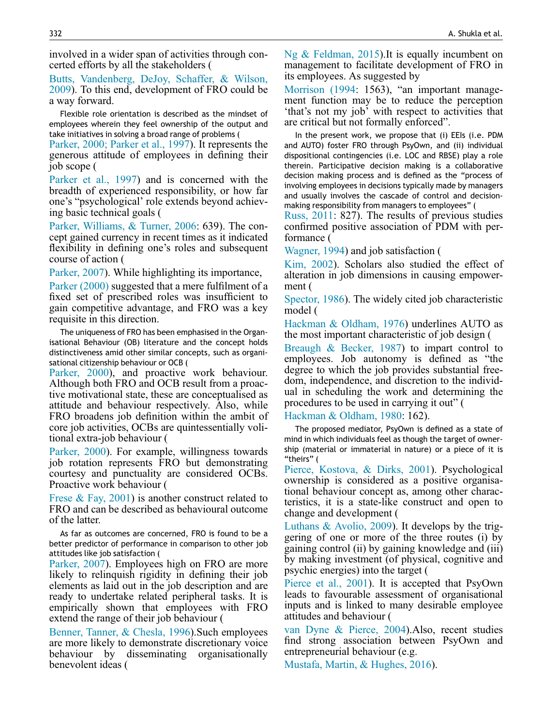involved in a wider span of activities through concerted efforts by all the stakeholders (

Butts, Vandenberg, DeJoy, Schaffer, & Wilson, 2009). To this end, development of FRO could be a way forward.

Flexible role orientation is described as the mindset of employees wherein they feel ownership of the output and take initiatives in solving a broad range of problems (

Parker, 2000; Parker et al., 1997). It represents the generous attitude of employees in defining their job scope (

Parker et al., 1997) and is concerned with the breadth of experienced responsibility, or how far one's "psychological' role extends beyond achieving basic technical goals (

Parker, Williams, & Turner, 2006: 639). The concept gained currency in recent times as it indicated flexibility in defining one's roles and subsequent course of action (

Parker, 2007). While highlighting its importance,

Parker (2000) suggested that a mere fulfilment of a fixed set of prescribed roles was insufficient to gain competitive advantage, and FRO was a key requisite in this direction.

The uniqueness of FRO has been emphasised in the Organisational Behaviour (OB) literature and the concept holds distinctiveness amid other similar concepts, such as organisational citizenship behaviour or OCB (

Parker, 2000), and proactive work behaviour. Although both FRO and OCB result from a proactive motivational state, these are conceptualised as attitude and behaviour respectively. Also, while FRO broadens job definition within the ambit of core job activities, OCBs are quintessentially volitional extra-job behaviour (

Parker, 2000). For example, willingness towards job rotation represents FRO but demonstrating courtesy and punctuality are considered OCBs. Proactive work behaviour (

Frese & Fay, 2001) is another construct related to FRO and can be described as behavioural outcome of the latter.

As far as outcomes are concerned, FRO is found to be a better predictor of performance in comparison to other job attitudes like job satisfaction (

Parker, 2007). Employees high on FRO are more likely to relinquish rigidity in defining their job elements as laid out in the job description and are ready to undertake related peripheral tasks. It is empirically shown that employees with FRO extend the range of their job behaviour (

Benner, Tanner, & Chesla, 1996).Such employees are more likely to demonstrate discretionary voice behaviour by disseminating organisationally benevolent ideas (

Ng & Feldman, 2015).It is equally incumbent on management to facilitate development of FRO in its employees. As suggested by

Morrison (1994: 1563), "an important management function may be to reduce the perception 'that's not my job' with respect to activities that are critical but not formally enforced".

In the present work, we propose that (i) EEIs (i.e. PDM and AUTO) foster FRO through PsyOwn, and (ii) individual dispositional contingencies (i.e. LOC and RBSE) play a role therein. Participative decision making is a collaborative decision making process and is defined as the "process of involving employees in decisions typically made by managers and usually involves the cascade of control and decisionmaking responsibility from managers to employees" (

Russ, 2011: 827). The results of previous studies confirmed positive association of PDM with performance (

Wagner, 1994) and job satisfaction (

Kim, 2002). Scholars also studied the effect of alteration in job dimensions in causing empowerment (

Spector, 1986). The widely cited job characteristic model (

Hackman & Oldham, 1976) underlines AUTO as the most important characteristic of job design (

Breaugh & Becker, 1987) to impart control to employees. Job autonomy is defined as "the degree to which the job provides substantial freedom, independence, and discretion to the individual in scheduling the work and determining the procedures to be used in carrying it out" (

Hackman & Oldham, 1980: 162).

The proposed mediator, PsyOwn is defined as a state of mind in which individuals feel as though the target of ownership (material or immaterial in nature) or a piece of it is "theirs" (

Pierce, Kostova, & Dirks, 2001). Psychological ownership is considered as a positive organisational behaviour concept as, among other characteristics, it is a state-like construct and open to change and development (

Luthans & Avolio, 2009). It develops by the triggering of one or more of the three routes (i) by gaining control (ii) by gaining knowledge and (iii) by making investment (of physical, cognitive and psychic energies) into the target (

Pierce et al., 2001). It is accepted that PsyOwn leads to favourable assessment of organisational inputs and is linked to many desirable employee attitudes and behaviour (

van Dyne & Pierce, 2004).Also, recent studies find strong association between PsyOwn and entrepreneurial behaviour (e.g.

Mustafa, Martin, & Hughes, 2016).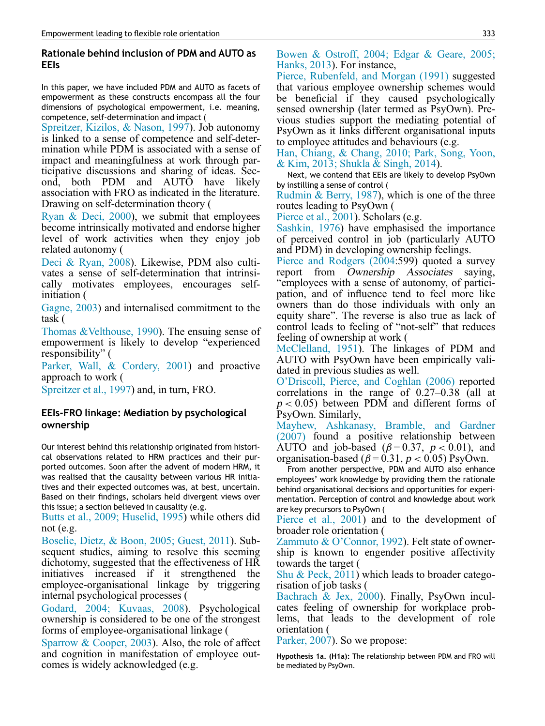# Rationale behind inclusion of PDM and AUTO as EEIs

In this paper, we have included PDM and AUTO as facets of empowerment as these constructs encompass all the four dimensions of psychological empowerment, i.e. meaning, competence, self-determination and impact (

Spreitzer, Kizilos, & Nason, 1997). Job autonomy is linked to a sense of competence and self-determination while PDM is associated with a sense of impact and meaningfulness at work through participative discussions and sharing of ideas. Second, both PDM and AUTO have likely association with FRO as indicated in the literature. Drawing on self-determination theory (

Ryan & Deci, 2000), we submit that employees become intrinsically motivated and endorse higher level of work activities when they enjoy job related autonomy (

Deci & Ryan, 2008). Likewise, PDM also cultivates a sense of self-determination that intrinsically motivates employees, encourages selfinitiation (

Gagne, 2003) and internalised commitment to the task (

Thomas &Velthouse, 1990). The ensuing sense of empowerment is likely to develop "experienced responsibility" (

Parker, Wall, & Cordery, 2001) and proactive approach to work (

Spreitzer et al., 1997) and, in turn, FRO.

# EEIs-FRO linkage: Mediation by psychological ownership

Our interest behind this relationship originated from historical observations related to HRM practices and their purported outcomes. Soon after the advent of modern HRM, it was realised that the causality between various HR initiatives and their expected outcomes was, at best, uncertain. Based on their findings, scholars held divergent views over this issue; a section believed in causality (e.g.

Butts et al., 2009; Huselid, 1995) while others did not (e.g.

Boselie, Dietz, & Boon, 2005; Guest, 2011). Subsequent studies, aiming to resolve this seeming dichotomy, suggested that the effectiveness of HR initiatives increased if it strengthened the employee-organisational linkage by triggering internal psychological processes (

Godard, 2004; Kuvaas, 2008). Psychological ownership is considered to be one of the strongest forms of employee-organisational linkage (

Sparrow & Cooper, 2003). Also, the role of affect and cognition in manifestation of employee outcomes is widely acknowledged (e.g.

Bowen & Ostroff, 2004; Edgar & Geare, 2005; Hanks, 2013). For instance,

Pierce, Rubenfeld, and Morgan (1991) suggested that various employee ownership schemes would be beneficial if they caused psychologically sensed ownership (later termed as PsyOwn). Previous studies support the mediating potential of PsyOwn as it links different organisational inputs to employee attitudes and behaviours (e.g.

Han, Chiang, & Chang, 2010; Park, Song, Yoon, & Kim, 2013; Shukla & Singh, 2014).

Next, we contend that EEIs are likely to develop PsyOwn by instilling a sense of control (

Rudmin & Berry, 1987), which is one of the three routes leading to PsyOwn (

Pierce et al., 2001). Scholars (e.g.

Sashkin, 1976) have emphasised the importance of perceived control in job (particularly AUTO and PDM) in developing ownership feelings.

Pierce and Rodgers (2004:599) quoted a survey report from Ownership Associates saying, "employees with a sense of autonomy, of participation, and of influence tend to feel more like owners than do those individuals with only an equity share". The reverse is also true as lack of control leads to feeling of "not-self" that reduces feeling of ownership at work (

McClelland, 1951). The linkages of PDM and AUTO with PsyOwn have been empirically validated in previous studies as well.

O'Driscoll, Pierce, and Coghlan (2006) reported correlations in the range of 0.27–0.38 (all at  $p < 0.05$ ) between PDM and different forms of PsyOwn. Similarly,

Mayhew, Ashkanasy, Bramble, and Gardner (2007) found a positive relationship between AUTO and job-based ( $\beta$ =0.37,  $p$  < 0.01), and organisation-based ( $\beta$  = 0.31,  $p$  < 0.05) PsyOwn.

From another perspective, PDM and AUTO also enhance employees' work knowledge by providing them the rationale behind organisational decisions and opportunities for experimentation. Perception of control and knowledge about work are key precursors to PsyOwn (

Pierce et al., 2001) and to the development of broader role orientation (

Zammuto & O'Connor, 1992). Felt state of ownership is known to engender positive affectivity towards the target (

Shu & Peck, 2011) which leads to broader categorisation of job tasks (

Bachrach & Jex, 2000). Finally, PsyOwn inculcates feeling of ownership for workplace problems, that leads to the development of role orientation (

Parker, 2007). So we propose:

Hypothesis 1a. (H1a): The relationship between PDM and FRO will be mediated by PsyOwn.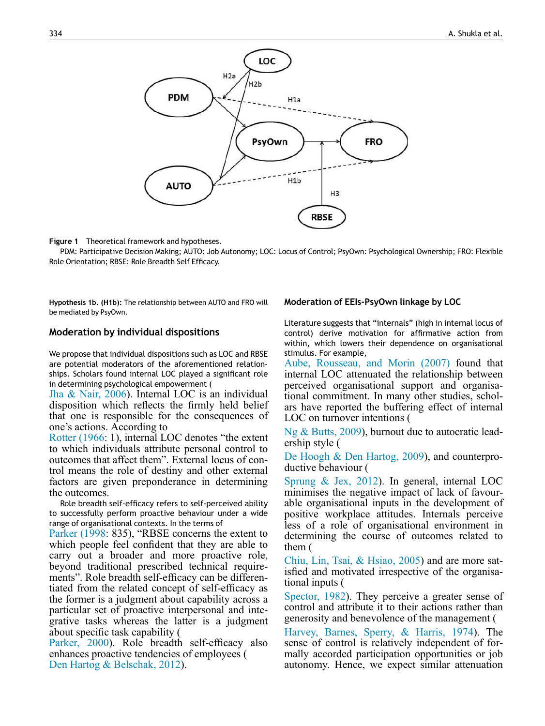

Figure 1 Theoretical framework and hypotheses.

PDM: Participative Decision Making; AUTO: Job Autonomy; LOC: Locus of Control; PsyOwn: Psychological Ownership; FRO: Flexible Role Orientation; RBSE: Role Breadth Self Efficacy.

Hypothesis 1b. (H1b): The relationship between AUTO and FRO will be mediated by PsyOwn.

#### Moderation by individual dispositions

We propose that individual dispositions such as LOC and RBSE are potential moderators of the aforementioned relationships. Scholars found internal LOC played a significant role in determining psychological empowerment (

Jha & Nair, 2006). Internal LOC is an individual disposition which reflects the firmly held belief that one is responsible for the consequences of one's actions. According to

Rotter (1966: 1), internal LOC denotes "the extent to which individuals attribute personal control to outcomes that affect them". External locus of control means the role of destiny and other external factors are given preponderance in determining the outcomes.

Role breadth self-efficacy refers to self-perceived ability to successfully perform proactive behaviour under a wide range of organisational contexts. In the terms of

Parker (1998: 835), "RBSE concerns the extent to which people feel confident that they are able to carry out a broader and more proactive role, beyond traditional prescribed technical requirements". Role breadth self-efficacy can be differentiated from the related concept of self-efficacy as the former is a judgment about capability across a particular set of proactive interpersonal and integrative tasks whereas the latter is a judgment about specific task capability (

Parker, 2000). Role breadth self-efficacy also enhances proactive tendencies of employees ( Den Hartog & Belschak, 2012).

# Moderation of EEIs-PsyOwn linkage by LOC

Literature suggests that "internals" (high in internal locus of control) derive motivation for affirmative action from within, which lowers their dependence on organisational stimulus. For example,

Aube, Rousseau, and Morin (2007) found that internal LOC attenuated the relationship between perceived organisational support and organisational commitment. In many other studies, scholars have reported the buffering effect of internal LOC on turnover intentions (

Ng & Butts, 2009), burnout due to autocratic leadership style (

De Hoogh & Den Hartog, 2009), and counterproductive behaviour (

Sprung & Jex, 2012). In general, internal LOC minimises the negative impact of lack of favourable organisational inputs in the development of positive workplace attitudes. Internals perceive less of a role of organisational environment in determining the course of outcomes related to them (

Chiu, Lin, Tsai, & Hsiao, 2005) and are more satisfied and motivated irrespective of the organisational inputs (

Spector, 1982). They perceive a greater sense of control and attribute it to their actions rather than generosity and benevolence of the management (

Harvey, Barnes, Sperry, & Harris, 1974). The sense of control is relatively independent of formally accorded participation opportunities or job autonomy. Hence, we expect similar attenuation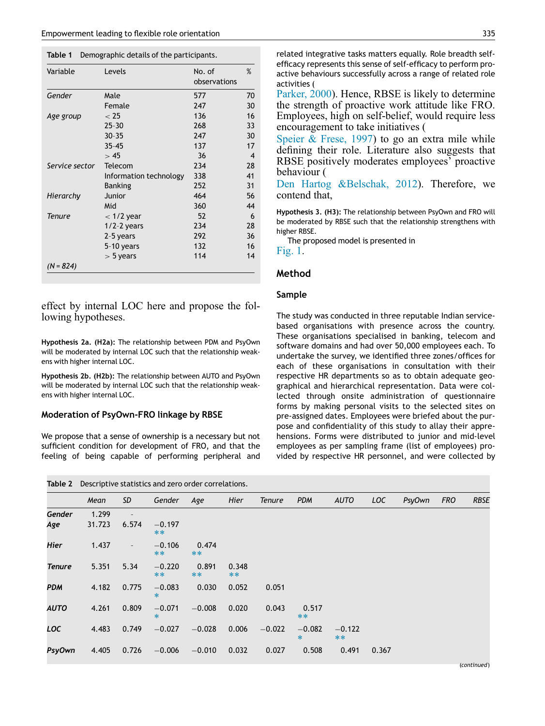Table 1 Demographic details of the participants.

| Variable       | Levels                 | No. of<br>observations |    |  |
|----------------|------------------------|------------------------|----|--|
| Gender         | Male                   | 577                    | 70 |  |
|                | Female                 | 247                    | 30 |  |
| Age group      | < 25                   | 136                    | 16 |  |
|                | $25 - 30$              | 268                    | 33 |  |
|                | $30 - 35$              | 247                    | 30 |  |
|                | $35 - 45$              | 137                    | 17 |  |
|                | >45                    | 36                     | 4  |  |
| Service sector | Telecom                | 234                    | 28 |  |
|                | Information technology | 338                    | 41 |  |
|                | Banking                | 252                    | 31 |  |
| Hierarchy      | Junior                 | 464                    | 56 |  |
|                | Mid                    | 360                    | 44 |  |
| Tenure         | $<$ 1/2 year           | 52                     | 6  |  |
|                | $1/2-2$ years          | 234                    | 28 |  |
|                | 2-5 years              | 292                    | 36 |  |
|                | 5-10 years             | 132                    | 16 |  |
|                | $>$ 5 years            | 114                    | 14 |  |
| $(N = 824)$    |                        |                        |    |  |

effect by internal LOC here and propose the following hypotheses.

Hypothesis 2a. (H2a): The relationship between PDM and PsyOwn will be moderated by internal LOC such that the relationship weakens with higher internal LOC.

Hypothesis 2b. (H2b): The relationship between AUTO and PsyOwn will be moderated by internal LOC such that the relationship weakens with higher internal LOC.

#### Moderation of PsyOwn-FRO linkage by RBSE

We propose that a sense of ownership is a necessary but not sufficient condition for development of FRO, and that the feeling of being capable of performing peripheral and

|  | <b>Table 2</b> Descriptive statistics and zero order correlations. |  |  |
|--|--------------------------------------------------------------------|--|--|
|--|--------------------------------------------------------------------|--|--|

related integrative tasks matters equally. Role breadth selfefficacy represents this sense of self-efficacy to perform proactive behaviours successfully across a range of related role activities (

Parker, 2000). Hence, RBSE is likely to determine the strength of proactive work attitude like FRO. Employees, high on self-belief, would require less encouragement to take initiatives (

Speier & Frese, 1997) to go an extra mile while defining their role. Literature also suggests that RBSE positively moderates employees' proactive behaviour (

Den Hartog &Belschak, 2012). Therefore, we contend that,

Hypothesis 3. (H3): The relationship between PsyOwn and FRO will be moderated by RBSE such that the relationship strengthens with higher RBSE.

The proposed model is presented in

Fig. 1.

#### Method

#### Sample

The study was conducted in three reputable Indian servicebased organisations with presence across the country. These organisations specialised in banking, telecom and software domains and had over 50,000 employees each. To undertake the survey, we identified three zones/offices for each of these organisations in consultation with their respective HR departments so as to obtain adequate geographical and hierarchical representation. Data were collected through onsite administration of questionnaire forms by making personal visits to the selected sites on pre-assigned dates. Employees were briefed about the purpose and confidentiality of this study to allay their apprehensions. Forms were distributed to junior and mid-level employees as per sampling frame (list of employees) provided by respective HR personnel, and were collected by

| Table 2 Descriptive statistics and Zero order correlations. |        |                          |                    |                |               |               |                    |                   |            |        |            |             |
|-------------------------------------------------------------|--------|--------------------------|--------------------|----------------|---------------|---------------|--------------------|-------------------|------------|--------|------------|-------------|
|                                                             | Mean   | SD                       | Gender             | Age            | Hier          | <b>Tenure</b> | <b>PDM</b>         | <b>AUTO</b>       | <b>LOC</b> | PsyOwn | <b>FRO</b> | <b>RBSE</b> |
| Gender                                                      | 1.299  | $\overline{a}$           |                    |                |               |               |                    |                   |            |        |            |             |
| Age                                                         | 31.723 | 6.574                    | $-0.197$<br>$***$  |                |               |               |                    |                   |            |        |            |             |
| Hier                                                        | 1.437  | $\overline{\phantom{a}}$ | $-0.106$<br>$***$  | 0.474<br>$***$ |               |               |                    |                   |            |        |            |             |
| <b>Tenure</b>                                               | 5.351  | 5.34                     | $-0.220$<br>$***$  | 0.891<br>$***$ | 0.348<br>$**$ |               |                    |                   |            |        |            |             |
| <b>PDM</b>                                                  | 4.182  | 0.775                    | $-0.083$<br>$\ast$ | 0.030          | 0.052         | 0.051         |                    |                   |            |        |            |             |
| <b>AUTO</b>                                                 | 4.261  | 0.809                    | $-0.071$<br>$\ast$ | $-0.008$       | 0.020         | 0.043         | 0.517<br>$***$     |                   |            |        |            |             |
| LOC                                                         | 4.483  | 0.749                    | $-0.027$           | $-0.028$       | 0.006         | $-0.022$      | $-0.082$<br>$\ast$ | $-0.122$<br>$***$ |            |        |            |             |
| <b>PsyOwn</b>                                               | 4.405  | 0.726                    | $-0.006$           | $-0.010$       | 0.032         | 0.027         | 0.508              | 0.491             | 0.367      |        |            |             |
|                                                             |        |                          |                    |                |               |               |                    |                   |            |        |            |             |

(*continued*)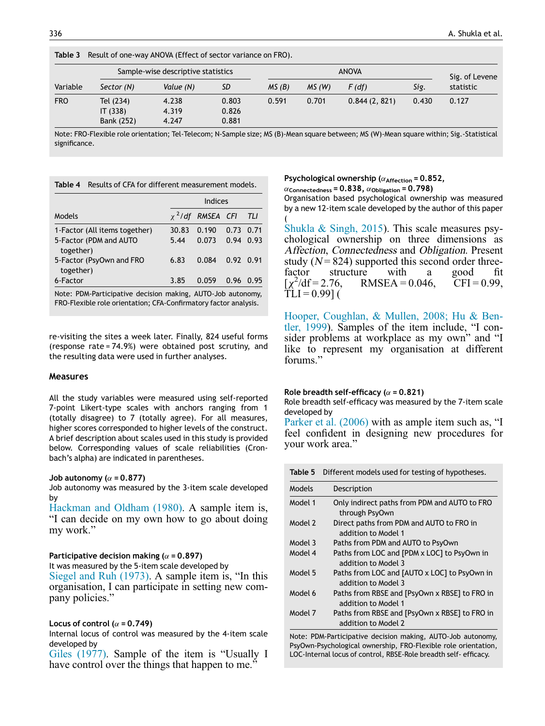| Table 3                            | Result of one-way ANOVA (Effect of sector variance on FRO). |                         |                         |              |       |              |       |                |  |
|------------------------------------|-------------------------------------------------------------|-------------------------|-------------------------|--------------|-------|--------------|-------|----------------|--|
| Sample-wise descriptive statistics |                                                             |                         |                         | <b>ANOVA</b> |       |              |       | Sig. of Levene |  |
| Variable                           | Sector (N)                                                  | Value (N)               | SD                      | MS(B)        | MS(W) | F(df)        | Sig.  | statistic      |  |
| <b>FRO</b>                         | Tel (234)<br>IT (338)<br>Bank (252)                         | 4.238<br>4.319<br>4.247 | 0.803<br>0.826<br>0.881 | 0.591        | 0.701 | 0.844(2.821) | 0.430 | 0.127          |  |

Note: FRO-Flexible role orientation; Tel-Telecom; N-Sample size; MS (B)-Mean square between; MS (W)-Mean square within; Sig.-Statistical significance.

| Table 4                               | Results of CFA for different measurement models. |                        |                   |      |  |  |  |  |  |
|---------------------------------------|--------------------------------------------------|------------------------|-------------------|------|--|--|--|--|--|
|                                       | Indices                                          |                        |                   |      |  |  |  |  |  |
| Models                                |                                                  | $\chi^2$ /df RMSEA CFI |                   | TLI  |  |  |  |  |  |
| 1-Factor (All items together)         | 30.83                                            | 0.190                  | $0.73 \quad 0.71$ |      |  |  |  |  |  |
| 5-Factor (PDM and AUTO<br>together)   | 5.44                                             | 0.073                  | $0.94$ $0.93$     |      |  |  |  |  |  |
| 5-Factor (PsyOwn and FRO<br>together) | 6.83                                             | 0.084                  | $0.92 \quad 0.91$ |      |  |  |  |  |  |
| 6-Factor                              | 3.85                                             | 0.059                  | 0.96              | በ 95 |  |  |  |  |  |

Note: PDM-Participative decision making, AUTO-Job autonomy, FRO-Flexible role orientation; CFA-Confirmatory factor analysis.

re-visiting the sites a week later. Finally, 824 useful forms (response rate = 74.9%) were obtained post scrutiny, and the resulting data were used in further analyses.

#### Measures

All the study variables were measured using self-reported 7-point Likert-type scales with anchors ranging from 1 (totally disagree) to 7 (totally agree). For all measures, higher scores corresponded to higher levels of the construct. A brief description about scales used in this study is provided below. Corresponding values of scale reliabilities (Cronbach's alpha) are indicated in parentheses.

#### Job autonomy ( $\alpha$  = 0.877)

Job autonomy was measured by the 3-item scale developed by

Hackman and Oldham (1980). A sample item is, "I can decide on my own how to go about doing my work."

#### Participative decision making ( $\alpha$  = 0.897)

It was measured by the 5-item scale developed by

Siegel and Ruh (1973). A sample item is, "In this organisation, I can participate in setting new company policies."

#### Locus of control ( $\alpha$  = 0.749)

Internal locus of control was measured by the 4-item scale developed by

Giles (1977). Sample of the item is "Usually I have control over the things that happen to me."

Psychological ownership ( $\alpha$ <sub>Affection</sub> = 0.852,

 $\alpha_{\text{Connectedness}} = 0.838$ ,  $\alpha_{\text{Obligation}} = 0.798$ )

Organisation based psychological ownership was measured by a new 12-item scale developed by the author of this paper (

Shukla & Singh, 2015). This scale measures psychological ownership on three dimensions as Affection, Connectedness and Obligation. Present study ( $N = 824$ ) supported this second order threefactor structure with a good fit<br> $\lceil \chi^2/df = 2.76$ , RMSEA = 0.046, CFI = 0.99,  $\left[x^2\right]$  $RMSEA = 0.046$ ,  $TLI = 0.99$ ] (

Hooper, Coughlan, & Mullen, 2008; Hu & Bentler, 1999). Samples of the item include, "I consider problems at workplace as my own" and "I like to represent my organisation at different forums."

#### Role breadth self-efficacy ( $\alpha$  = 0.821)

Role breadth self-efficacy was measured by the 7-item scale developed by

Parker et al. (2006) with as ample item such as, "I feel confident in designing new procedures for your work area."

|         | Table 5 Different models used for testing of hypotheses.             |
|---------|----------------------------------------------------------------------|
| Models  | Description                                                          |
| Model 1 | Only indirect paths from PDM and AUTO to FRO<br>through PsyOwn       |
| Model 2 | Direct paths from PDM and AUTO to FRO in<br>addition to Model 1      |
| Model 3 | Paths from PDM and AUTO to PsyOwn                                    |
| Model 4 | Paths from LOC and [PDM x LOC] to PsyOwn in<br>addition to Model 3   |
| Model 5 | Paths from LOC and [AUTO x LOC] to PsyOwn in<br>addition to Model 3  |
| Model 6 | Paths from RBSE and [PsyOwn x RBSE] to FRO in<br>addition to Model 1 |
| Model 7 | Paths from RBSE and [PsyOwn x RBSE] to FRO in<br>addition to Model 2 |

Note: PDM-Participative decision making, AUTO-Job autonomy, PsyOwn-Psychological ownership, FRO-Flexible role orientation, LOC-Internal locus of control, RBSE-Role breadth self- efficacy.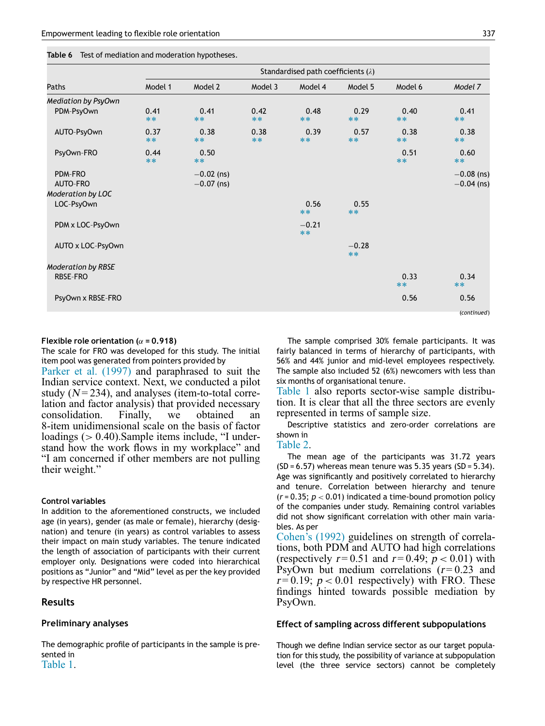|  | Table 6 Test of mediation and moderation hypotheses. |  |  |  |
|--|------------------------------------------------------|--|--|--|
|--|------------------------------------------------------|--|--|--|

|                                       | Standardised path coefficients $(\lambda)$ |                              |              |                 |                  |               |                              |
|---------------------------------------|--------------------------------------------|------------------------------|--------------|-----------------|------------------|---------------|------------------------------|
| Paths                                 | Model 1                                    | Model 2                      | Model 3      | Model 4         | Model 5          | Model 6       | Model 7                      |
| <b>Mediation by PsyOwn</b>            |                                            |                              |              |                 |                  |               |                              |
| PDM-PsyOwn                            | 0.41<br>$**$                               | 0.41<br>$**$                 | 0.42<br>$**$ | 0.48<br>$**$    | 0.29<br>$***$    | 0.40<br>$**$  | 0.41<br>$**$                 |
| AUTO-PsyOwn                           | 0.37<br>$**$                               | 0.38<br>$***$                | 0.38<br>$**$ | 0.39<br>$**$    | 0.57<br>$***$    | 0.38<br>$***$ | 0.38<br>$***$                |
| PsyOwn-FRO                            | 0.44<br>$**$                               | 0.50<br>$***$                |              |                 |                  | 0.51<br>$**$  | 0.60<br>$***$                |
| PDM-FRO<br>AUTO-FRO                   |                                            | $-0.02$ (ns)<br>$-0.07$ (ns) |              |                 |                  |               | $-0.08$ (ns)<br>$-0.04$ (ns) |
| <b>Moderation by LOC</b>              |                                            |                              |              |                 |                  |               |                              |
| LOC-PsyOwn                            |                                            |                              |              | 0.56<br>$***$   | 0.55<br>$***$    |               |                              |
| PDM x LOC-PsyOwn                      |                                            |                              |              | $-0.21$<br>$**$ |                  |               |                              |
| AUTO x LOC-PsyOwn                     |                                            |                              |              |                 | $-0.28$<br>$***$ |               |                              |
| <b>Moderation by RBSE</b><br>RBSE-FRO |                                            |                              |              |                 |                  | 0.33<br>$***$ | 0.34<br>$***$                |
| PsyOwn x RBSE-FRO                     |                                            |                              |              |                 |                  | 0.56          | 0.56<br>(continued)          |

#### Flexible role orientation ( $\alpha$  = 0.918)

The scale for FRO was developed for this study. The initial item pool was generated from pointers provided by

Parker et al. (1997) and paraphrased to suit the Indian service context. Next, we conducted a pilot study ( $N = 234$ ), and analyses (item-to-total correlation and factor analysis) that provided necessary consolidation. Finally, we obtained an 8-item unidimensional scale on the basis of factor loadings ( $> 0.40$ ). Sample items include, "I understand how the work flows in my workplace" and "I am concerned if other members are not pulling their weight."

#### Control variables

In addition to the aforementioned constructs, we included age (in years), gender (as male or female), hierarchy (designation) and tenure (in years) as control variables to assess their impact on main study variables. The tenure indicated the length of association of participants with their current employer only. Designations were coded into hierarchical positions as "Junior" and "Mid" level as per the key provided by respective HR personnel.

#### Results

#### Preliminary analyses

The demographic profile of participants in the sample is presented in Table 1.

The sample comprised 30% female participants. It was fairly balanced in terms of hierarchy of participants, with 56% and 44% junior and mid-level employees respectively. The sample also included 52 (6%) newcomers with less than six months of organisational tenure.

Table 1 also reports sector-wise sample distribution. It is clear that all the three sectors are evenly represented in terms of sample size.

Descriptive statistics and zero-order correlations are shown in

#### Table 2.

The mean age of the participants was 31.72 years  $(SD = 6.57)$  whereas mean tenure was 5.35 years  $(SD = 5.34)$ . Age was significantly and positively correlated to hierarchy and tenure. Correlation between hierarchy and tenure  $(r = 0.35; p < 0.01)$  indicated a time-bound promotion policy of the companies under study. Remaining control variables did not show significant correlation with other main variables. As per

Cohen's (1992) guidelines on strength of correlations, both PDM and AUTO had high correlations (respectively  $r=0.51$  and  $r=0.49$ ;  $p < 0.01$ ) with PsyOwn but medium correlations  $(r=0.23$  and  $r = 0.19$ ;  $p < 0.01$  respectively) with FRO. These findings hinted towards possible mediation by PsyOwn.

#### Effect of sampling across different subpopulations

Though we define Indian service sector as our target population for this study, the possibility of variance at subpopulation level (the three service sectors) cannot be completely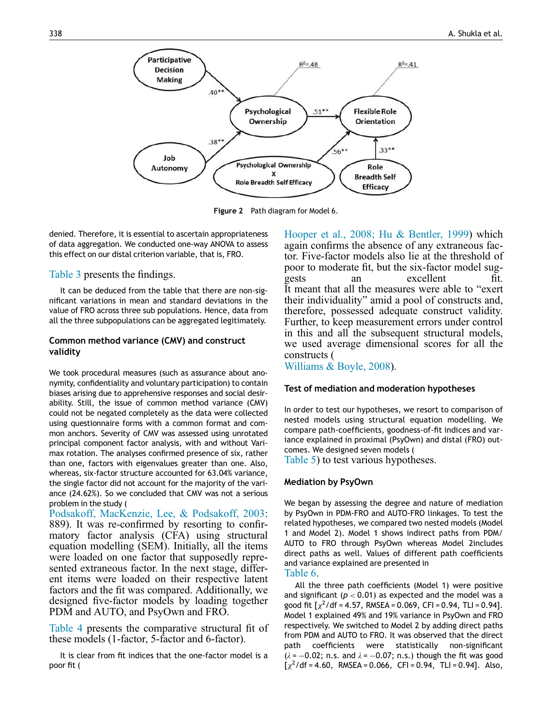

Figure 2 Path diagram for Model 6.

denied. Therefore, it is essential to ascertain appropriateness of data aggregation. We conducted one-way ANOVA to assess this effect on our distal criterion variable, that is, FRO.

#### Table 3 presents the findings.

It can be deduced from the table that there are non-significant variations in mean and standard deviations in the value of FRO across three sub populations. Hence, data from all the three subpopulations can be aggregated legitimately.

#### Common method variance (CMV) and construct validity

We took procedural measures (such as assurance about anonymity, confidentiality and voluntary participation) to contain biases arising due to apprehensive responses and social desirability. Still, the issue of common method variance (CMV) could not be negated completely as the data were collected using questionnaire forms with a common format and common anchors. Severity of CMV was assessed using unrotated principal component factor analysis, with and without Varimax rotation. The analyses confirmed presence of six, rather than one, factors with eigenvalues greater than one. Also, whereas, six-factor structure accounted for 63.04% variance, the single factor did not account for the majority of the variance (24.62%). So we concluded that CMV was not a serious problem in the study (

Podsakoff, MacKenzie, Lee, & Podsakoff, 2003: 889). It was re-confirmed by resorting to confirmatory factor analysis (CFA) using structural equation modelling (SEM). Initially, all the items were loaded on one factor that supposedly represented extraneous factor. In the next stage, different items were loaded on their respective latent factors and the fit was compared. Additionally, we designed five-factor models by loading together PDM and AUTO, and PsyOwn and FRO.

Table 4 presents the comparative structural fit of these models (1-factor, 5-factor and 6-factor).

It is clear from fit indices that the one-factor model is a poor fit (

Hooper et al., 2008; Hu & Bentler, 1999) which again confirms the absence of any extraneous factor. Five-factor models also lie at the threshold of poor to moderate fit, but the six-factor model suggests an excellent fit. It meant that all the measures were able to "exert their individuality" amid a pool of constructs and, therefore, possessed adequate construct validity. Further, to keep measurement errors under control in this and all the subsequent structural models, we used average dimensional scores for all the constructs (

Williams & Boyle, 2008).

#### Test of mediation and moderation hypotheses

In order to test our hypotheses, we resort to comparison of nested models using structural equation modelling. We compare path-coefficients, goodness-of-fit indices and variance explained in proximal (PsyOwn) and distal (FRO) outcomes. We designed seven models (

Table 5) to test various hypotheses.

# Mediation by PsyOwn

We began by assessing the degree and nature of mediation by PsyOwn in PDM-FRO and AUTO-FRO linkages. To test the related hypotheses, we compared two nested models (Model 1 and Model 2). Model 1 shows indirect paths from PDM/ AUTO to FRO through PsyOwn whereas Model 2includes direct paths as well. Values of different path coefficients and variance explained are presented in

# Table 6.

All the three path coefficients (Model 1) were positive and significant  $(p < 0.01)$  as expected and the model was a good fit  $\left[\chi^2/\text{df} = 4.57, \text{ RMSEA} = 0.069, \text{ CFI} = 0.94, \text{ TLI} = 0.94\right]$ . Model 1 explained 49% and 19% variance in PsyOwn and FRO respectively. We switched to Model 2 by adding direct paths from PDM and AUTO to FRO. It was observed that the direct path coefficients were statistically non-significant  $(\lambda = -0.02; n.s.$  and  $\lambda = -0.07; n.s.$ ) though the fit was good  $\left[\chi^2/\text{df} = 4.60\right]$ , RMSEA = 0.066, CFI = 0.94, TLI = 0.94]. Also,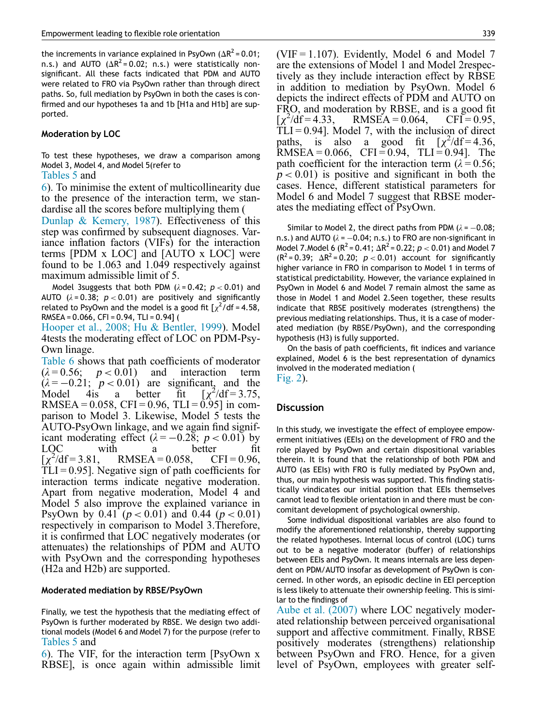the increments in variance explained in PsyOwn ( $\Delta R^2$  = 0.01; n.s.) and AUTO ( $\Delta R^2$ =0.02; n.s.) were statistically nonsignificant. All these facts indicated that PDM and AUTO were related to FRO via PsyOwn rather than through direct paths. So, full mediation by PsyOwn in both the cases is confirmed and our hypotheses 1a and 1b [H1a and H1b] are supported.

#### Moderation by LOC

To test these hypotheses, we draw a comparison among Model 3, Model 4, and Model 5(refer to

#### Tables 5 and

6). To minimise the extent of multicollinearity due to the presence of the interaction term, we standardise all the scores before multiplying them (

Dunlap & Kemery, 1987). Effectiveness of this step was confirmed by subsequent diagnoses. Variance inflation factors (VIFs) for the interaction terms [PDM x LOC] and [AUTO x LOC] were found to be 1.063 and 1.049 respectively against maximum admissible limit of 5.

Model 3suggests that both PDM  $(\lambda = 0.42; p < 0.01)$  and AUTO  $(\lambda = 0.38; p < 0.01)$  are positively and significantly related to PsyOwn and the model is a good fit  $\left[\chi^2\right]$  of = 4.58, RMSEA =  $0.066$ , CFI =  $0.94$ , TLI =  $0.94$ ] (

Hooper et al., 2008; Hu & Bentler, 1999). Model 4tests the moderating effect of LOC on PDM-Psy-Own linage.

Table 6 shows that path coefficients of moderator  $(\lambda = 0.56; \quad p < 0.01)$  and interaction term  $(\lambda = -0.21; p < 0.01)$  are significant, and the Model 4is a better fit  $[\chi]$  $^{2}/df = 3.75$ , RMSEA =  $0.058$ , CFI =  $0.96$ , TLI =  $0.95$ ] in comparison to Model 3. Likewise, Model 5 tests the AUTO-PsyOwn linkage, and we again find significant moderating effect  $(\lambda = -0.28; p < 0.01)$  by LOC with a better fit  $\overline{[\chi^2]}$  $RMSEA = 0.058$ ,  $CFI = 0.96$ ,  $TLI = 0.95$ ]. Negative sign of path coefficients for interaction terms indicate negative moderation. Apart from negative moderation, Model 4 and Model 5 also improve the explained variance in PsyOwn by 0.41 ( $p < 0.01$ ) and 0.44 ( $p < 0.01$ ) respectively in comparison to Model 3.Therefore, it is confirmed that LOC negatively moderates (or attenuates) the relationships of PDM and AUTO with PsyOwn and the corresponding hypotheses (H2a and H2b) are supported.

#### Moderated mediation by RBSE/PsyOwn

Finally, we test the hypothesis that the mediating effect of PsyOwn is further moderated by RBSE. We design two additional models (Model 6 and Model 7) for the purpose (refer to Tables 5 and

6). The VIF, for the interaction term [PsyOwn x RBSE], is once again within admissible limit (VIF =  $1.107$ ). Evidently, Model 6 and Model 7 are the extensions of Model 1 and Model 2respectively as they include interaction effect by RBSE in addition to mediation by PsyOwn. Model 6 depicts the indirect effects of PDM and AUTO on FRO, and moderation by RBSE, and is a good fit  $\overline{[\chi^2]}$  $RMSEA = 0.064, \quad CFI = 0.95,$  $TLI = 0.94$ . Model 7, with the inclusion of direct paths, is also a good fit  $[\chi^2/df = 4.36]$ RMSEA =  $0.066$ , CFI =  $0.94$ , TLI =  $0.94$ ]. The path coefficient for the interaction term ( $\lambda = 0.56$ ;  $p < 0.01$ ) is positive and significant in both the cases. Hence, different statistical parameters for Model 6 and Model 7 suggest that RBSE moderates the mediating effect of PsyOwn.

Similar to Model 2, the direct paths from PDM ( $\lambda = -0.08$ ; n.s.) and AUTO ( $\lambda = -0.04$ ; n.s.) to FRO are non-significant in Model 7. Model 6 ( $R^2$  = 0.41;  $\Delta R^2$  = 0.22;  $p <$  0.01) and Model 7  $(R^2 = 0.39; \Delta R^2 = 0.20; p < 0.01)$  account for significantly higher variance in FRO in comparison to Model 1 in terms of statistical predictability. However, the variance explained in PsyOwn in Model 6 and Model 7 remain almost the same as those in Model 1 and Model 2.Seen together, these results indicate that RBSE positively moderates (strengthens) the previous mediating relationships. Thus, it is a case of moderated mediation (by RBSE/PsyOwn), and the corresponding hypothesis (H3) is fully supported.

On the basis of path coefficients, fit indices and variance explained, Model 6 is the best representation of dynamics involved in the moderated mediation ( Fig. 2).

#### **Discussion**

In this study, we investigate the effect of employee empowerment initiatives (EEIs) on the development of FRO and the role played by PsyOwn and certain dispositional variables therein. It is found that the relationship of both PDM and AUTO (as EEIs) with FRO is fully mediated by PsyOwn and, thus, our main hypothesis was supported. This finding statistically vindicates our initial position that EEIs themselves cannot lead to flexible orientation in and there must be concomitant development of psychological ownership.

Some individual dispositional variables are also found to modify the aforementioned relationship, thereby supporting the related hypotheses. Internal locus of control (LOC) turns out to be a negative moderator (buffer) of relationships between EEIs and PsyOwn. It means internals are less dependent on PDM/AUTO insofar as development of PsyOwn is concerned. In other words, an episodic decline in EEI perception is less likely to attenuate their ownership feeling. This is similar to the findings of

Aube et al. (2007) where LOC negatively moderated relationship between perceived organisational support and affective commitment. Finally, RBSE positively moderates (strengthens) relationship between PsyOwn and FRO. Hence, for a given level of PsyOwn, employees with greater self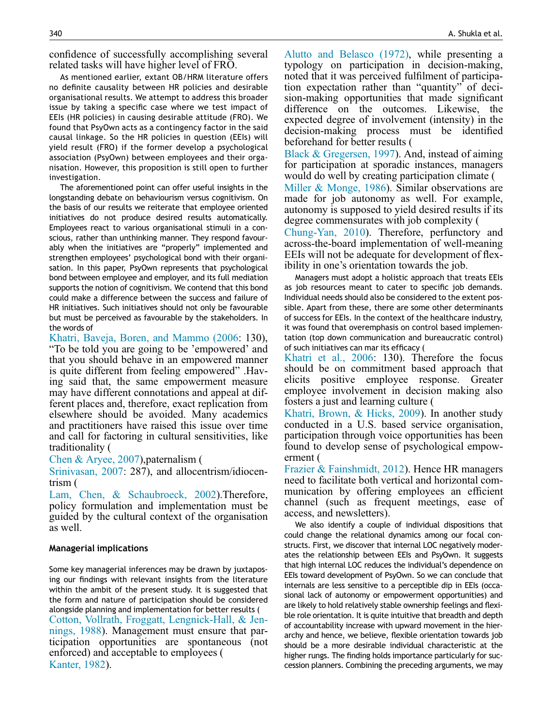confidence of successfully accomplishing several related tasks will have higher level of FRO.

As mentioned earlier, extant OB/HRM literature offers no definite causality between HR policies and desirable organisational results. We attempt to address this broader issue by taking a specific case where we test impact of EEIs (HR policies) in causing desirable attitude (FRO). We found that PsyOwn acts as a contingency factor in the said causal linkage. So the HR policies in question (EEIs) will yield result (FRO) if the former develop a psychological association (PsyOwn) between employees and their organisation. However, this proposition is still open to further investigation.

The aforementioned point can offer useful insights in the longstanding debate on behaviourism versus cognitivism. On the basis of our results we reiterate that employee oriented initiatives do not produce desired results automatically. Employees react to various organisational stimuli in a conscious, rather than unthinking manner. They respond favourably when the initiatives are "properly" implemented and strengthen employees' psychological bond with their organisation. In this paper, PsyOwn represents that psychological bond between employee and employer, and its full mediation supports the notion of cognitivism. We contend that this bond could make a difference between the success and failure of HR initiatives. Such initiatives should not only be favourable but must be perceived as favourable by the stakeholders. In the words of

Khatri, Baveja, Boren, and Mammo (2006: 130), "To be told you are going to be 'empowered' and that you should behave in an empowered manner is quite different from feeling empowered" .Having said that, the same empowerment measure may have different connotations and appeal at different places and, therefore, exact replication from elsewhere should be avoided. Many academics and practitioners have raised this issue over time and call for factoring in cultural sensitivities, like traditionality (

Chen & Aryee, 2007),paternalism (

Srinivasan, 2007: 287), and allocentrism/idiocentrism (

Lam, Chen, & Schaubroeck, 2002).Therefore, policy formulation and implementation must be guided by the cultural context of the organisation as well.

# Managerial implications

Some key managerial inferences may be drawn by juxtaposing our findings with relevant insights from the literature within the ambit of the present study. It is suggested that the form and nature of participation should be considered alongside planning and implementation for better results ( Cotton, Vollrath, Froggatt, Lengnick-Hall, & Jennings, 1988). Management must ensure that participation opportunities are spontaneous (not enforced) and acceptable to employees ( Kanter, 1982).

Alutto and Belasco (1972), while presenting a typology on participation in decision-making, noted that it was perceived fulfilment of participation expectation rather than "quantity" of decision-making opportunities that made significant difference on the outcomes. Likewise, the expected degree of involvement (intensity) in the decision-making process must be identified beforehand for better results (

Black & Gregersen, 1997). And, instead of aiming for participation at sporadic instances, managers would do well by creating participation climate (

Miller & Monge, 1986). Similar observations are made for job autonomy as well. For example, autonomy is supposed to yield desired results if its degree commensurates with job complexity (

Chung-Yan, 2010). Therefore, perfunctory and across-the-board implementation of well-meaning EEIs will not be adequate for development of flexibility in one's orientation towards the job.

Managers must adopt a holistic approach that treats EEIs as job resources meant to cater to specific job demands. Individual needs should also be considered to the extent possible. Apart from these, there are some other determinants of success for EEIs. In the context of the healthcare industry, it was found that overemphasis on control based implementation (top down communication and bureaucratic control) of such initiatives can mar its efficacy (

Khatri et al., 2006: 130). Therefore the focus should be on commitment based approach that elicits positive employee response. Greater employee involvement in decision making also fosters a just and learning culture (

Khatri, Brown, & Hicks, 2009). In another study conducted in a U.S. based service organisation, participation through voice opportunities has been found to develop sense of psychological empowerment (

Frazier & Fainshmidt, 2012). Hence HR managers need to facilitate both vertical and horizontal communication by offering employees an efficient channel (such as frequent meetings, ease of access, and newsletters).

We also identify a couple of individual dispositions that could change the relational dynamics among our focal constructs. First, we discover that internal LOC negatively moderates the relationship between EEIs and PsyOwn. It suggests that high internal LOC reduces the individual's dependence on EEIs toward development of PsyOwn. So we can conclude that internals are less sensitive to a perceptible dip in EEIs (occasional lack of autonomy or empowerment opportunities) and are likely to hold relatively stable ownership feelings and flexible role orientation. It is quite intuitive that breadth and depth of accountability increase with upward movement in the hierarchy and hence, we believe, flexible orientation towards job should be a more desirable individual characteristic at the higher rungs. The finding holds importance particularly for succession planners. Combining the preceding arguments, we may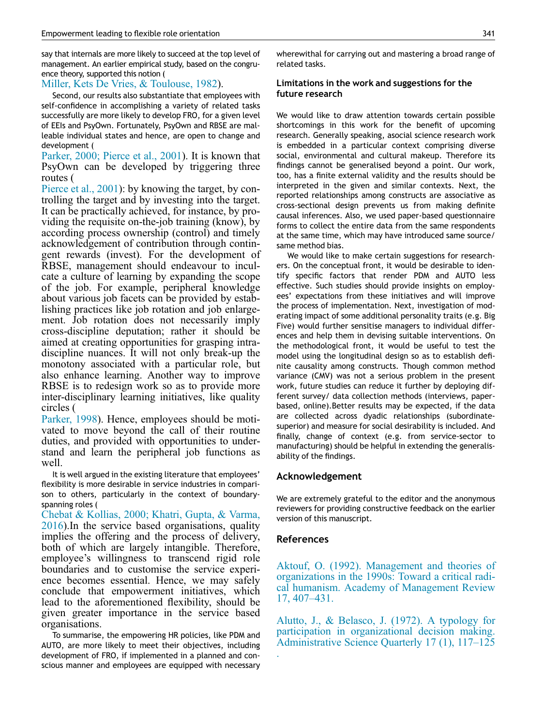say that internals are more likely to succeed at the top level of management. An earlier empirical study, based on the congruence theory, supported this notion (

# Miller, Kets De Vries, & Toulouse, 1982).

Second, our results also substantiate that employees with self-confidence in accomplishing a variety of related tasks successfully are more likely to develop FRO, for a given level of EEIs and PsyOwn. Fortunately, PsyOwn and RBSE are malleable individual states and hence, are open to change and development (

Parker, 2000; Pierce et al., 2001). It is known that PsyOwn can be developed by triggering three routes (

Pierce et al., 2001): by knowing the target, by controlling the target and by investing into the target. It can be practically achieved, for instance, by providing the requisite on-the-job training (know), by according process ownership (control) and timely acknowledgement of contribution through contingent rewards (invest). For the development of RBSE, management should endeavour to inculcate a culture of learning by expanding the scope of the job. For example, peripheral knowledge about various job facets can be provided by establishing practices like job rotation and job enlargement. Job rotation does not necessarily imply cross-discipline deputation; rather it should be aimed at creating opportunities for grasping intradiscipline nuances. It will not only break-up the monotony associated with a particular role, but also enhance learning. Another way to improve RBSE is to redesign work so as to provide more inter-disciplinary learning initiatives, like quality circles (

Parker, 1998). Hence, employees should be motivated to move beyond the call of their routine duties, and provided with opportunities to understand and learn the peripheral job functions as well.

It is well argued in the existing literature that employees' flexibility is more desirable in service industries in comparison to others, particularly in the context of boundaryspanning roles (

Chebat & Kollias, 2000; Khatri, Gupta, & Varma, 2016).In the service based organisations, quality implies the offering and the process of delivery, both of which are largely intangible. Therefore, employee's willingness to transcend rigid role boundaries and to customise the service experience becomes essential. Hence, we may safely conclude that empowerment initiatives, which lead to the aforementioned flexibility, should be given greater importance in the service based organisations.

To summarise, the empowering HR policies, like PDM and AUTO, are more likely to meet their objectives, including development of FRO, if implemented in a planned and conscious manner and employees are equipped with necessary wherewithal for carrying out and mastering a broad range of related tasks.

# Limitations in the work and suggestions for the future research

We would like to draw attention towards certain possible shortcomings in this work for the benefit of upcoming research. Generally speaking, asocial science research work is embedded in a particular context comprising diverse social, environmental and cultural makeup. Therefore its findings cannot be generalised beyond a point. Our work, too, has a finite external validity and the results should be interpreted in the given and similar contexts. Next, the reported relationships among constructs are associative as cross-sectional design prevents us from making definite causal inferences. Also, we used paper-based questionnaire forms to collect the entire data from the same respondents at the same time, which may have introduced same source/ same method bias.

We would like to make certain suggestions for researchers. On the conceptual front, it would be desirable to identify specific factors that render PDM and AUTO less effective. Such studies should provide insights on employees' expectations from these initiatives and will improve the process of implementation. Next, investigation of moderating impact of some additional personality traits (e.g. Big Five) would further sensitise managers to individual differences and help them in devising suitable interventions. On the methodological front, it would be useful to test the model using the longitudinal design so as to establish definite causality among constructs. Though common method variance (CMV) was not a serious problem in the present work, future studies can reduce it further by deploying different survey/ data collection methods (interviews, paperbased, online).Better results may be expected, if the data are collected across dyadic relationships (subordinatesuperior) and measure for social desirability is included. And finally, change of context (e.g. from service-sector to manufacturing) should be helpful in extending the generalisability of the findings.

# Acknowledgement

We are extremely grateful to the editor and the anonymous reviewers for providing constructive feedback on the earlier version of this manuscript.

# References

.

Aktouf, O. (1992). Management and theories of organizations in the 1990s: Toward a critical radical humanism. Academy of Management Review 17, 407–431.

Alutto, J., & Belasco, J. (1972). A typology for participation in organizational decision making. Administrative Science Quarterly 17 (1), 117–125